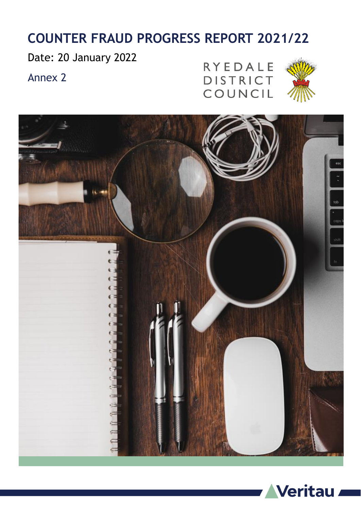## **COUNTER FRAUD PROGRESS REPORT 2021/22**

Date: 20 January 2022

Annex 2

RYEDALE **DISTRICT** COUNCIL





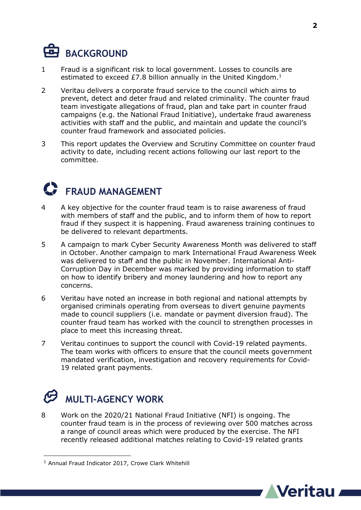## **BACKGROUND**

- 1 Fraud is a significant risk to local government. Losses to councils are estimated to exceed £7.8 billion annually in the United Kingdom. $<sup>1</sup>$ </sup>
- 2 Veritau delivers a corporate fraud service to the council which aims to prevent, detect and deter fraud and related criminality. The counter fraud team investigate allegations of fraud, plan and take part in counter fraud campaigns (e.g. the National Fraud Initiative), undertake fraud awareness activities with staff and the public, and maintain and update the council's counter fraud framework and associated policies.
- 3 This report updates the Overview and Scrutiny Committee on counter fraud activity to date, including recent actions following our last report to the committee.

## **FRAUD MANAGEMENT**

- 4 A key objective for the counter fraud team is to raise awareness of fraud with members of staff and the public, and to inform them of how to report fraud if they suspect it is happening. Fraud awareness training continues to be delivered to relevant departments.
- 5 A campaign to mark Cyber Security Awareness Month was delivered to staff in October. Another campaign to mark International Fraud Awareness Week was delivered to staff and the public in November. International Anti-Corruption Day in December was marked by providing information to staff on how to identify bribery and money laundering and how to report any concerns.
- 6 Veritau have noted an increase in both regional and national attempts by organised criminals operating from overseas to divert genuine payments made to council suppliers (i.e. mandate or payment diversion fraud). The counter fraud team has worked with the council to strengthen processes in place to meet this increasing threat.
- 7 Veritau continues to support the council with Covid-19 related payments. The team works with officers to ensure that the council meets government mandated verification, investigation and recovery requirements for Covid-19 related grant payments.

# **MULTI-AGENCY WORK**

**.** 

8 Work on the 2020/21 National Fraud Initiative (NFI) is ongoing. The counter fraud team is in the process of reviewing over 500 matches across a range of council areas which were produced by the exercise. The NFI recently released additional matches relating to Covid-19 related grants



<sup>1</sup> Annual Fraud Indicator 2017, Crowe Clark Whitehill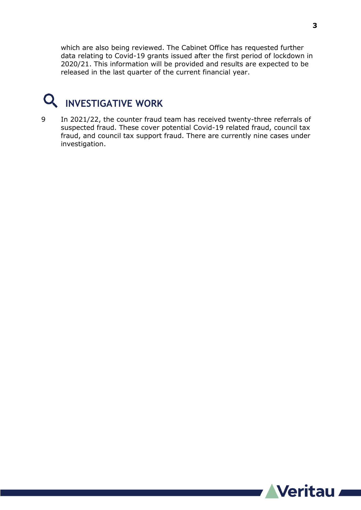which are also being reviewed. The Cabinet Office has requested further data relating to Covid-19 grants issued after the first period of lockdown in 2020/21. This information will be provided and results are expected to be released in the last quarter of the current financial year.

### **Q** INVESTIGATIVE WORK

9 In 2021/22, the counter fraud team has received twenty-three referrals of suspected fraud. These cover potential Covid-19 related fraud, council tax fraud, and council tax support fraud. There are currently nine cases under investigation.

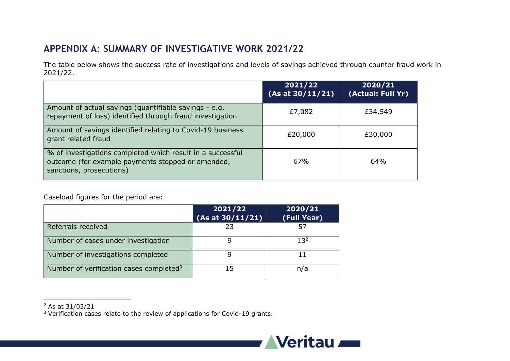#### **APPENDIX A: SUMMARY OF INVESTIGATIVE WORK 2021/22**

The table below shows the success rate of investigations and levels of savings achieved through counter fraud work in 2021/22.

|                                                                                                                                             | 2021/22<br>(As at 30/11/21) | 2020/21<br>(Actual: Full Yr) |
|---------------------------------------------------------------------------------------------------------------------------------------------|-----------------------------|------------------------------|
| Amount of actual savings (quantifiable savings - e.g.<br>repayment of loss) identified through fraud investigation                          | £7,082                      | £34,549                      |
| Amount of savings identified relating to Covid-19 business<br>grant related fraud                                                           | £20,000                     | £30,000                      |
| % of investigations completed which result in a successful<br>outcome (for example payments stopped or amended,<br>sanctions, prosecutions) | 67%                         | 64%                          |

Caseload figures for the period are:

|                                                     | 2021/22<br>(As at 30/11/21) | 2020/21<br>(Full Year) |
|-----------------------------------------------------|-----------------------------|------------------------|
| Referrals received                                  | 23                          |                        |
| Number of cases under investigation                 |                             | 13 <sup>2</sup>        |
| Number of investigations completed                  |                             |                        |
| Number of verification cases completed <sup>3</sup> | 15                          | n/a                    |

 $\overline{\phantom{a}}$ <sup>2</sup> As at 31/03/21

 $3$  Verification cases relate to the review of applications for Covid-19 grants.